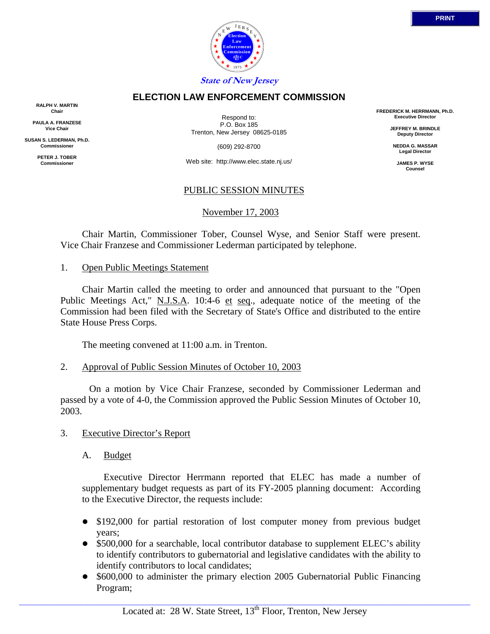

## **ELECTION LAW ENFORCEMENT COMMISSION**

**RALPH V. MARTIN Chair**

**PAULA A. FRANZESE Vice Chair**

**SUSAN S. LEDERMAN, Ph.D. Commissioner**

> **PETER J. TOBER Commissioner**

Respond to: P.O. Box 185 Trenton, New Jersey 08625-0185

(609) 292-8700

Web site: http://www.elec.state.nj.us/

### PUBLIC SESSION MINUTES

November 17, 2003

 Chair Martin, Commissioner Tober, Counsel Wyse, and Senior Staff were present. Vice Chair Franzese and Commissioner Lederman participated by telephone.

#### 1. Open Public Meetings Statement

 Chair Martin called the meeting to order and announced that pursuant to the "Open Public Meetings Act," N.J.S.A. 10:4-6 et seq., adequate notice of the meeting of the Commission had been filed with the Secretary of State's Office and distributed to the entire State House Press Corps.

The meeting convened at 11:00 a.m. in Trenton.

2. Approval of Public Session Minutes of October 10, 2003

 On a motion by Vice Chair Franzese, seconded by Commissioner Lederman and passed by a vote of 4-0, the Commission approved the Public Session Minutes of October 10, 2003.

- 3. Executive Director's Report
	- A. Budget

 Executive Director Herrmann reported that ELEC has made a number of supplementary budget requests as part of its FY-2005 planning document: According to the Executive Director, the requests include:

- \$192,000 for partial restoration of lost computer money from previous budget years;
- \$500,000 for a searchable, local contributor database to supplement ELEC's ability to identify contributors to gubernatorial and legislative candidates with the ability to identify contributors to local candidates;
- \$600,000 to administer the primary election 2005 Gubernatorial Public Financing Program;

 $\_$  ,  $\_$  ,  $\_$  ,  $\_$  ,  $\_$  ,  $\_$  ,  $\_$  ,  $\_$  ,  $\_$  ,  $\_$  ,  $\_$  ,  $\_$  ,  $\_$  ,  $\_$  ,  $\_$  ,  $\_$  ,  $\_$  ,  $\_$  ,  $\_$  ,  $\_$  ,  $\_$  ,  $\_$  ,  $\_$  ,  $\_$  ,  $\_$  ,  $\_$  ,  $\_$  ,  $\_$  ,  $\_$  ,  $\_$  ,  $\_$  ,  $\_$  ,  $\_$  ,  $\_$  ,  $\_$  ,  $\_$  ,  $\_$  ,

**FREDERICK M. HERRMANN, Ph.D. Executive Director**

> **JEFFREY M. BRINDLE Deputy Director**

**NEDDA G. MASSAR Legal Director**

**JAMES P. WYSE Counsel**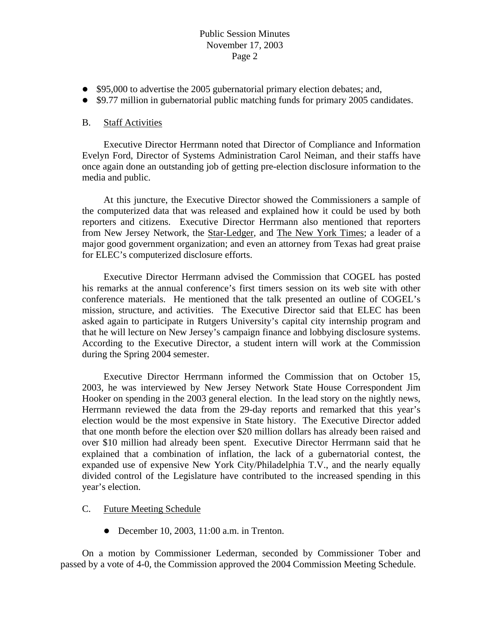# Public Session Minutes November 17, 2003 Page 2

- \$95,000 to advertise the 2005 gubernatorial primary election debates; and,
- \$9.77 million in gubernatorial public matching funds for primary 2005 candidates.

# B. Staff Activities

 Executive Director Herrmann noted that Director of Compliance and Information Evelyn Ford, Director of Systems Administration Carol Neiman, and their staffs have once again done an outstanding job of getting pre-election disclosure information to the media and public.

 At this juncture, the Executive Director showed the Commissioners a sample of the computerized data that was released and explained how it could be used by both reporters and citizens. Executive Director Herrmann also mentioned that reporters from New Jersey Network, the Star-Ledger, and The New York Times; a leader of a major good government organization; and even an attorney from Texas had great praise for ELEC's computerized disclosure efforts.

 Executive Director Herrmann advised the Commission that COGEL has posted his remarks at the annual conference's first timers session on its web site with other conference materials. He mentioned that the talk presented an outline of COGEL's mission, structure, and activities. The Executive Director said that ELEC has been asked again to participate in Rutgers University's capital city internship program and that he will lecture on New Jersey's campaign finance and lobbying disclosure systems. According to the Executive Director, a student intern will work at the Commission during the Spring 2004 semester.

 Executive Director Herrmann informed the Commission that on October 15, 2003, he was interviewed by New Jersey Network State House Correspondent Jim Hooker on spending in the 2003 general election. In the lead story on the nightly news, Herrmann reviewed the data from the 29-day reports and remarked that this year's election would be the most expensive in State history. The Executive Director added that one month before the election over \$20 million dollars has already been raised and over \$10 million had already been spent. Executive Director Herrmann said that he explained that a combination of inflation, the lack of a gubernatorial contest, the expanded use of expensive New York City/Philadelphia T.V., and the nearly equally divided control of the Legislature have contributed to the increased spending in this year's election.

### C. Future Meeting Schedule

 $\bullet$  December 10, 2003, 11:00 a.m. in Trenton.

 On a motion by Commissioner Lederman, seconded by Commissioner Tober and passed by a vote of 4-0, the Commission approved the 2004 Commission Meeting Schedule.